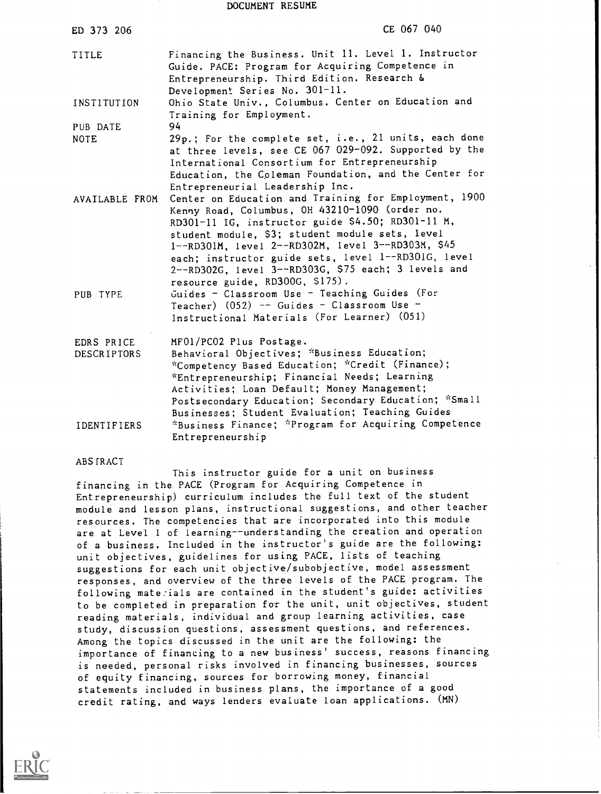#### DOCUMENT RESUME

| ED 373 206                       | CE 067 040                                                                                                                                                                                                                                                                                                                                                                                                                                                             |
|----------------------------------|------------------------------------------------------------------------------------------------------------------------------------------------------------------------------------------------------------------------------------------------------------------------------------------------------------------------------------------------------------------------------------------------------------------------------------------------------------------------|
| TITLE                            | Financing the Business. Unit 11. Level 1. Instructor<br>Guide. PACE: Program for Acquiring Competence in<br>Entrepreneurship. Third Edition. Research &<br>Development Series No. 301-11.                                                                                                                                                                                                                                                                              |
| INSTITUTION                      | Ohio State Univ., Columbus. Center on Education and<br>Training for Employment.                                                                                                                                                                                                                                                                                                                                                                                        |
| PUB DATE                         | 94                                                                                                                                                                                                                                                                                                                                                                                                                                                                     |
| <b>NOTE</b>                      | 29p.; For the complete set, i.e., 21 units, each done<br>at three levels, see CE 067 029-092. Supported by the<br>International Consortium for Entrepreneurship<br>Education, the Coleman Foundation, and the Center for<br>Entrepreneurial Leadership Inc.                                                                                                                                                                                                            |
| AVAILABLE FROM<br>PUB TYPE       | Center on Education and Training for Employment, 1900<br>Kenny Road, Columbus, OH 43210-1090 (order no.<br>RD301-11 IG, instructor guide \$4.50; RD301-11 M,<br>student module, \$3; student module sets, level<br>1--RD301M, level 2--RD302M, level 3--RD303M, \$45<br>each; instructor guide sets, level 1--RD301G, level<br>2--RD302G, level 3--RD303G, \$75 each; 3 levels and<br>resource guide, RD300G, \$175).<br>Guides - Classroom Use - Teaching Guides (For |
|                                  | Teacher) $(052)$ -- Guides - Classroom Use -<br>Instructional Materials (For Learner) (051)                                                                                                                                                                                                                                                                                                                                                                            |
| EDRS PRICE<br><b>DESCRIPTORS</b> | MF01/PC02 Plus Postage.<br>Behavioral Objectives; *Business Education;<br>*Competency Based Education; *Credit (Finance);<br>*Entrepreneurship; Financial Needs; Learning<br>Activities; Loan Default; Money Management;<br>Postsecondary Education; Secondary Education; *Small<br>Businesses; Student Evaluation; Teaching Guides                                                                                                                                    |
| <b>IDENTIFIERS</b>               | *Business Finance; *Program for Acquiring Competence<br>Entrepreneurship                                                                                                                                                                                                                                                                                                                                                                                               |

#### ABSTRACT

This instructor guide for a unit on business financing in the PACE (Program for Acquiring Competence in Entrepreneurship) curriculum includes the full text of the student module and lesson plans, instructional suggestions, and other teacher resources. The competencies that are incorporated into this module are at Level <sup>1</sup> of learning--understanding the creation and operation of a business. Included in the instructor's guide are the following: unit objectives, guidelines for using PACE, lists of teaching suggestions for each unit objective/subobjective, model assessment responses, and overview of the three levels of the PACE program. The following materials are contained in the student's guide: activities to be completed in preparation for the unit, unit objectives, student reading materials, individual and group learning activities, case study, discussion questions, assessment questions, and references. Among the topics discussed in the unit are the following: the importance of financing to a new business' success, reasons financing is needed, personal risks involved in financing businesses, sources of equity financing, sources for borrowing money, financial statements included in business plans, the importance of a good credit rating, and ways lenders evaluate loan applications. (MN)

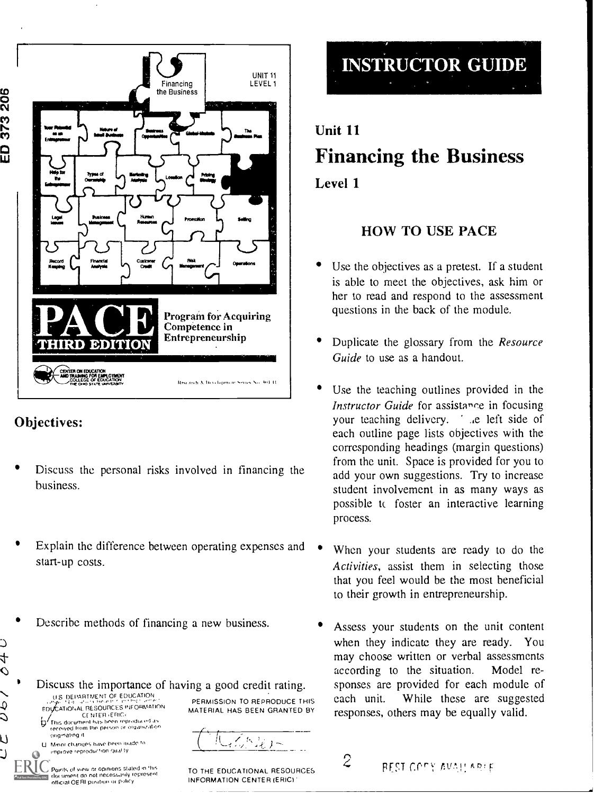

# Objectives:

originating if

4  $\hat{\phantom{0}}$ 

¢ Ć

Ú

U. Minor changes have been made to improve reproduction dibtl ly

Foints of view or opinions stated in this document do not nocossarily lepresent<br>official OERI position or policy

- Discuss the personal risks involved in financing the business.
- Explain the difference between operating expenses and start-up costs.
- Describe methods of financing a new business.



 $\{a_k\}$ 

TO THE EDUCATIONAL RESOURCES INFORMATION CENTER (ERIC).



Unit 11 Financing the Business Level 1

# HOW TO USE PACE

- Use the objectives as a pretest. If a student is able to meet the objectives, ask him or her to read and respond to the assessment questions in the back of the module.
- Duplicate the glossary from the Resource Guide to use as a handout.
- Use the teaching outlines provided in the Instructor Guide for assistance in focusing your teaching delivery. 'a left side of each outline page lists objectives with the corresponding headings (margin questions) from the unit. Space is provided for you to add your own suggestions. Try to increase student involvement in as many ways as possible tc foster an interactive learning process.
- When your students are ready to do the Activities, assist them in selecting those that you feel would be the most beneficial to their growth in entrepreneurship.
- Assess your students on the unit content when they indicate they are ready. You may choose written or verbal assessments according to the situation. Model responses are provided for each module of While these are suggested. responses, others may be equally valid.
	- $2$  PEST COPY AVAILABLE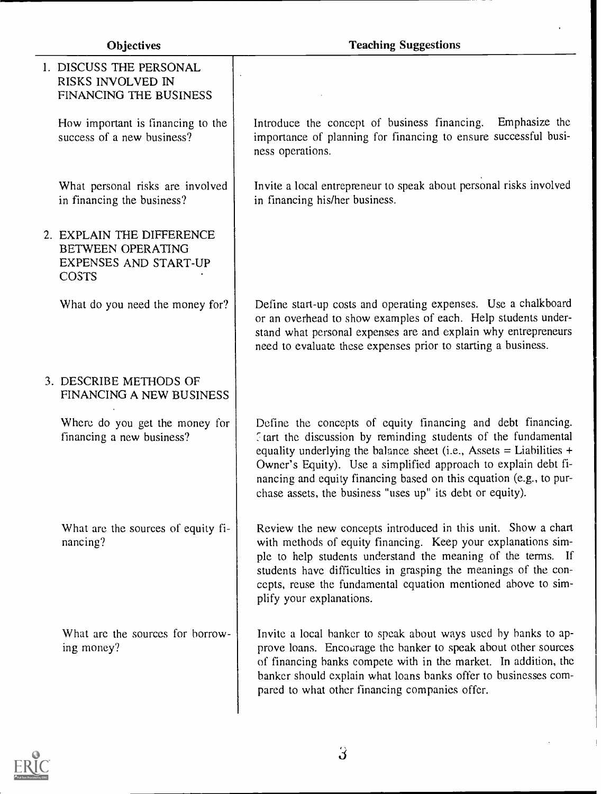| 1. DISCUSS THE PERSONAL<br>RISKS INVOLVED IN<br>FINANCING THE BUSINESS                  |                                                                                                                                                                                                                                                                                                                                                                                                              |
|-----------------------------------------------------------------------------------------|--------------------------------------------------------------------------------------------------------------------------------------------------------------------------------------------------------------------------------------------------------------------------------------------------------------------------------------------------------------------------------------------------------------|
| How important is financing to the<br>success of a new business?                         | Introduce the concept of business financing.<br>Emphasize the<br>importance of planning for financing to ensure successful busi-<br>ness operations.                                                                                                                                                                                                                                                         |
| What personal risks are involved<br>in financing the business?                          | Invite a local entrepreneur to speak about personal risks involved<br>in financing his/her business.                                                                                                                                                                                                                                                                                                         |
| 2. EXPLAIN THE DIFFERENCE<br>BETWEEN OPERATING<br>EXPENSES AND START-UP<br><b>COSTS</b> |                                                                                                                                                                                                                                                                                                                                                                                                              |
| What do you need the money for?                                                         | Define start-up costs and operating expenses. Use a chalkboard<br>or an overhead to show examples of each. Help students under-<br>stand what personal expenses are and explain why entrepreneurs<br>need to evaluate these expenses prior to starting a business.                                                                                                                                           |
| 3. DESCRIBE METHODS OF<br>FINANCING A NEW BUSINESS                                      |                                                                                                                                                                                                                                                                                                                                                                                                              |
| Where do you get the money for<br>financing a new business?                             | Define the concepts of equity financing and debt financing.<br>Ftart the discussion by reminding students of the fundamental<br>equality underlying the balance sheet (i.e., Assets $=$ Liabilities $+$<br>Owner's Equity). Use a simplified approach to explain debt fi-<br>nancing and equity financing based on this equation (e.g., to pur-<br>chase assets, the business "uses up" its debt or equity). |
| What are the sources of equity fi-<br>nancing?                                          | Review the new concepts introduced in this unit. Show a chart<br>with methods of equity financing. Keep your explanations sim-<br>ple to help students understand the meaning of the terms. If<br>students have difficulties in grasping the meanings of the con-<br>cepts, reuse the fundamental equation mentioned above to sim-<br>plify your explanations.                                               |
| What are the sources for borrow-<br>ing money?                                          | Invite a local banker to speak about ways used by banks to ap-<br>prove loans. Encourage the banker to speak about other sources<br>of financing banks compete with in the market. In addition, the<br>banker should explain what loans banks offer to businesses com-<br>pared to what other financing companies offer.                                                                                     |



 $\begin{array}{c} \hline \end{array}$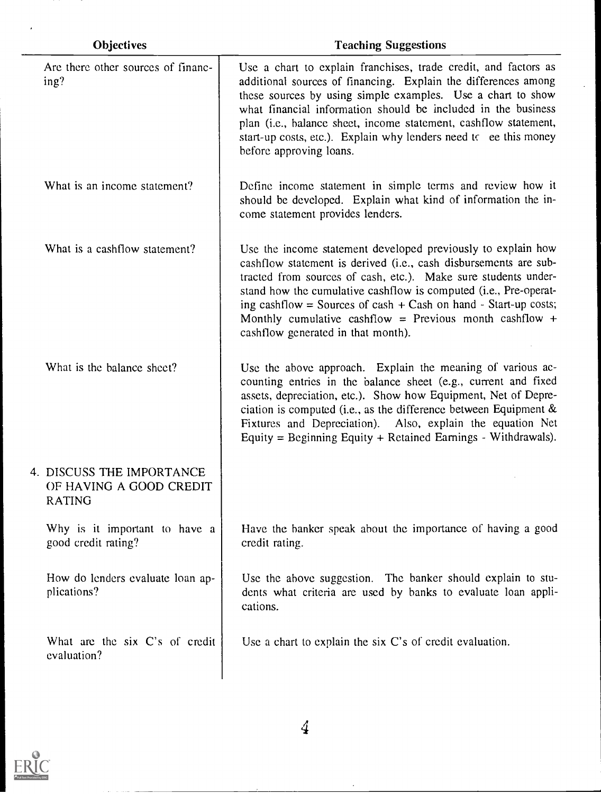| Objectives                                                            | <b>Teaching Suggestions</b>                                                                                                                                                                                                                                                                                                                                                                                                                |
|-----------------------------------------------------------------------|--------------------------------------------------------------------------------------------------------------------------------------------------------------------------------------------------------------------------------------------------------------------------------------------------------------------------------------------------------------------------------------------------------------------------------------------|
| Are there other sources of financ-<br>ing?                            | Use a chart to explain franchises, trade credit, and factors as<br>additional sources of financing. Explain the differences among<br>these sources by using simple examples. Use a chart to show<br>what financial information should be included in the business<br>plan (i.e., balance sheet, income statement, cashflow statement,<br>start-up costs, etc.). Explain why lenders need to ee this money<br>before approving loans.       |
| What is an income statement?                                          | Define income statement in simple terms and review how it<br>should be developed. Explain what kind of information the in-<br>come statement provides lenders.                                                                                                                                                                                                                                                                             |
| What is a cashflow statement?                                         | Use the income statement developed previously to explain how<br>cashflow statement is derived (i.e., cash disbursements are sub-<br>tracted from sources of cash, etc.). Make sure students under-<br>stand how the cumulative cashflow is computed (i.e., Pre-operat-<br>ing cashflow = Sources of cash + Cash on hand - Start-up costs;<br>Monthly cumulative cashflow = Previous month cashflow +<br>cashflow generated in that month). |
| What is the balance sheet?                                            | Use the above approach. Explain the meaning of various ac-<br>counting entries in the balance sheet (e.g., current and fixed<br>assets, depreciation, etc.). Show how Equipment, Net of Depre-<br>ciation is computed (i.e., as the difference between Equipment $\&$<br>Fixtures and Depreciation). Also, explain the equation Net<br>Equity = Beginning Equity + Retained Earnings - Withdrawals).                                       |
| 4. DISCUSS THE IMPORTANCE<br>OF HAVING A GOOD CREDIT<br><b>RATING</b> |                                                                                                                                                                                                                                                                                                                                                                                                                                            |
| Why is it important to have a<br>good credit rating?                  | Have the banker speak about the importance of having a good<br>credit rating.                                                                                                                                                                                                                                                                                                                                                              |
| How do lenders evaluate loan ap-<br>plications?                       | Use the above suggestion. The banker should explain to stu-<br>dents what criteria are used by banks to evaluate loan appli-<br>cations.                                                                                                                                                                                                                                                                                                   |
| What are the six C's of credit<br>evaluation?                         | Use a chart to explain the six C's of credit evaluation.                                                                                                                                                                                                                                                                                                                                                                                   |



4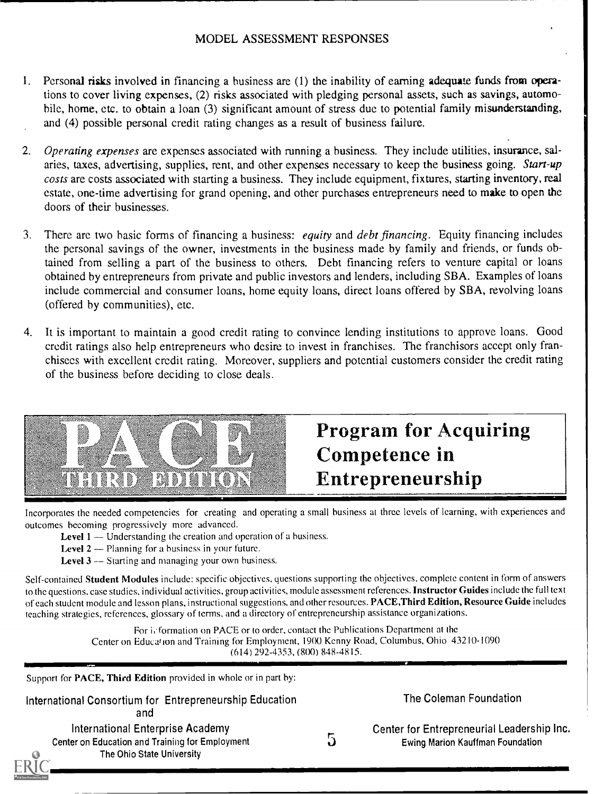#### MODEL ASSESSMENT RESPONSES

- 1. Personal risks involved in financing a business are (1) the inability of earning adequate funds from operations to cover living expenses, (2) risks associated with pledging personal assets, such as savings, automobile, home, etc. to obtain a loan (3) significant amount of stress due to potential family misunderstanding, and (4) possible personal credit rating changes as a result of business failure.
- 2. Operating expenses are expenses associated with running a business. They include utilities, insurance, salaries, taxes, advertising, supplies, rent, and other expenses necessary to keep the business going. Start-up costs are costs associated with starting a business. They include equipment, fixtures, starting inventory, real estate, one-time advertising for grand opening, and other purchases entrepreneurs need to make to open the doors of their businesses.
- 3. There are two basic forms of financing a business: equity and debt financing. Equity financing includes the personal savings of the owner, investments in the business made by family and friends, or funds obtained from selling a part of the business to others. Debt financing refers to venture capital or loans obtained by entrepreneurs from private and public investors and lenders, including SBA. Examples of loans include commercial and consumer loans, home equity loans, direct loans offered by SBA, revolving loans (offered by communities), etc.
- 4. It is important to maintain a good credit rating to convince lending institutions to approve loans. Good credit ratings also help entrepreneurs who desire to invest in franchises. The franchisors accept only franchisees with excellent credit rating. Moreover, suppliers and potential customers consider the credit rating of the business before deciding to close deals.



# Program for Acquiring Competence in Entrepreneurship

Incorporates the needed competencies for creating and operating a small business at three levels of learning, with experiences and outcomes becoming progressively more advanced.

- Level  $1 -$  Understanding the creation and operation of a business.
- Level  $2$  Planning for a business in your future.
- Level  $3$   $-$  Starting and managing your own business.

Self-contained Student Modules include: specific objectives, questions supporting the objectives, complete content in form of answers to the questions, case studies, individual activities, group activities, module assessment references. Instructor Guides include the full text of each student module and lesson plans, instructional suggestions, and other resources. PACE,Third Edition, Resource Guide includes teaching strategies, references, glossary of terms, and a directory of entrepreneurship assistance organizations.

> For information on PACE or to order, contact the Publications Department at the Center on Education and Training for Employment, 19(X) Kenny Road, Columbus, Ohio 43210-1090 (614) 292-4353, (8(X)) 848-4815.

Support for **PACE**, Third Edition provided in whole or in part by:

| International Consortium for Entrepreneurship Education |  |
|---------------------------------------------------------|--|
| and                                                     |  |
|                                                         |  |

International Enterprise Academy Center on Education and Training for Employment The Ohio State University

5

The Coleman Foundation

| Center for Entrepreneurial Leadership Inc. |  |
|--------------------------------------------|--|
| Ewing Marion Kauffman Foundation           |  |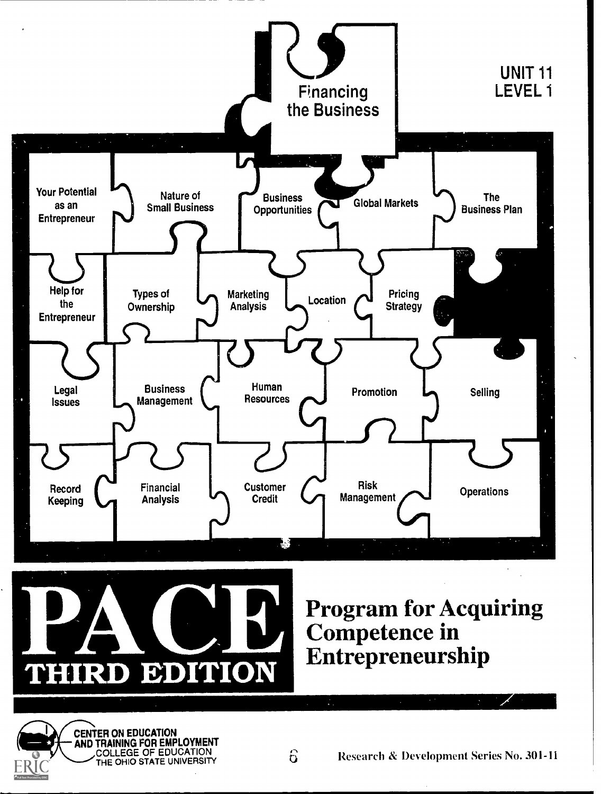



Program for Acquiring Competence in Entrepreneurship

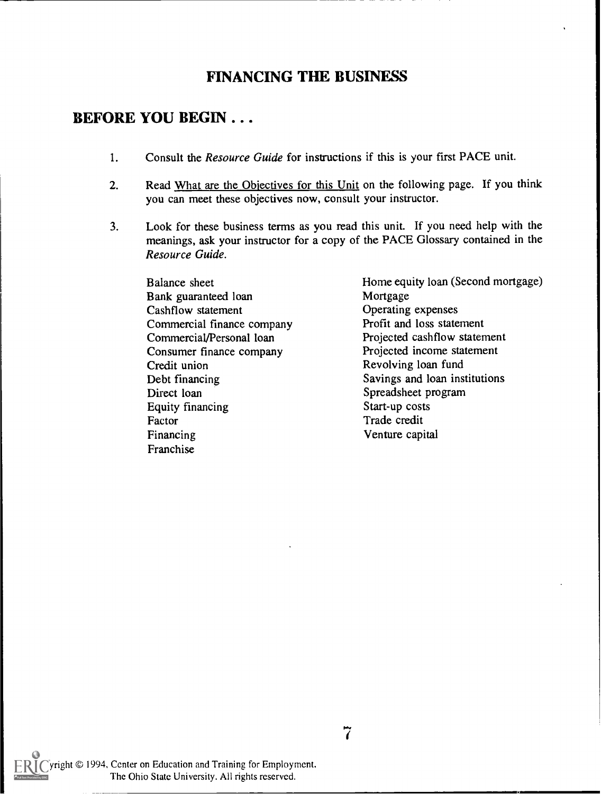# FINANCING THE BUSINESS

#### BEFORE YOU BEGIN . . .

- 1. Consult the *Resource Guide* for instructions if this is your first PACE unit.
- 2. Read What are the Objectives for this Unit on the following page. If you think you can meet these objectives now, consult your instructor.
- 3. Look for these business terms as you read this unit. If you need help with the meanings, ask your instructor for a copy of the PACE Glossary contained in the Resource Guide.

Balance sheet Bank guaranteed loan Cashflow statement Commercial finance company Commercial/Personal loan Consumer finance company Credit union Debt financing Direct loan Equity financing Factor Financing Franchise

Home equity loan (Second mortgage) Mortgage Operating expenses Profit and loss statement Projected cashflow statement Projected income statement Revolving loan fund Savings and loan institutions Spreadsheet program Start-up costs Trade credit Venture capital

yright © 1994, Center on Education and Training for Employment. The Ohio State University. All rights reserved.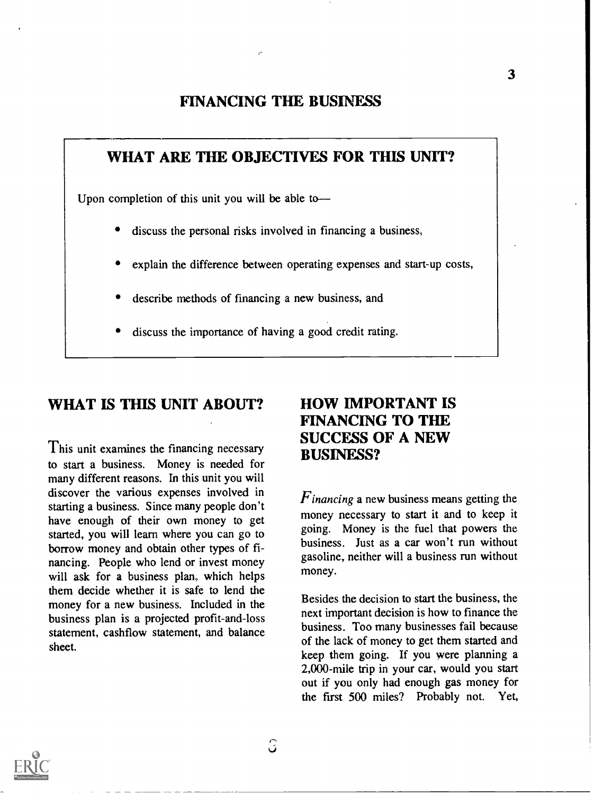#### FINANCING THE BUSINESS

### WHAT ARE THE OBJECTIVES FOR THIS UNIT?

Upon completion of this unit you will be able to

- discuss the personal risks involved in financing a business,
- explain the difference between operating expenses and start-up costs,
- describe methods of financing a new business, and
- discuss the importance of having a good credit rating.

#### WHAT IS THIS UNIT ABOUT?

This unit examines the financing necessary to start a business. Money is needed for many different reasons. In this unit you will discover the various expenses involved in starting a business. Since many people don't have enough of their own money to get started, you will learn where you can go to borrow money and obtain other types of financing. People who lend or invest money will ask for a business plan, which helps them decide whether it is safe to lend the money for a new business. Included in the business plan is a projected profit-and-loss statement, cashflow statement, and balance sheet.

# HOW IMPORTANT IS FINANCING TO THE SUCCESS OF A NEW BUSINESS?

 $F$ *inancing* a new business means getting the money necessary to start it and to keep it going. Money is the fuel that powers the business. Just as a car won't run without gasoline, neither will a business run without money.

Besides the decision to start the business, the next important decision is how to finance the business. Too many businesses fail because of the lack of money to get them started and keep them going. If you were planning a 2,000-mile trip in your car, would you start out if you only had enough gas money for the first 500 miles? Probably not. Yet,

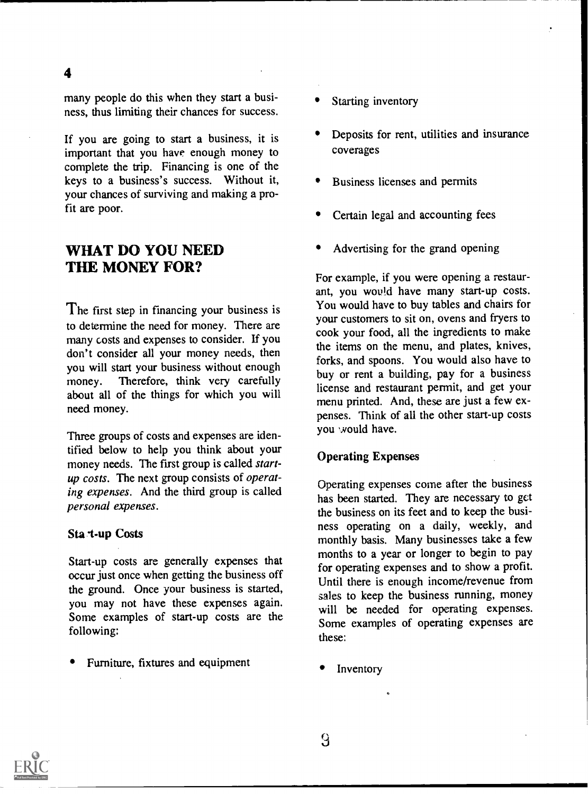many people do this when they start a business, thus limiting their chances for success.

4

If you are going to start a business, it is important that you have enough money to complete the trip. Financing is one of the keys to a business's success. Without it, your chances of surviving and making a profit are poor.

#### WHAT DO YOU NEED THE MONEY FOR?

The first step in financing your business is to determine the need for money. There are many costs and expenses to consider. If you don't consider all your money needs, then you will start your business without enough money. Therefore, think very carefully about all of the things for which you will need money.

Three groups of costs and expenses are identified below to help you think about your money needs. The first group is called startup costs. The next group consists of operating expenses. And the third group is called personal expenses.

#### Sta t-up Costs

Start-up costs are generally expenses that occur just once when getting the business off the ground. Once your business is started, you may not have these expenses again. Some examples of start-up costs are the following:

Furniture, fixtures and equipment

- Starting inventory
- Deposits for rent, utilities and insurance coverages
- Business licenses and permits
- Certain legal and accounting fees
- Advertising for the grand opening

For example, if you were opening a restaurant, you would have many start-up costs. You would have to buy tables and chairs for your customers to sit on, ovens and fryers to cook your food, all the ingredients to make the items on the menu, and plates, knives, forks, and spoons. You would also have to buy or rent a building, pay for a business license and restaurant permit, and get your menu printed. And, these are just a few expenses. Think of all the other start-up costs you would have.

#### Operating Expenses

Operating expenses come after the business has been started. They are necessary to get the business on its feet and to keep the business operating on a daily, weekly, and monthly basis. Many businesses take a few months to a year or longer to begin to pay for operating expenses and to show a profit. Until there is enough income/revenue from sales to keep the business running, money will be needed for operating expenses. Some examples of operating expenses are these:

Inventory

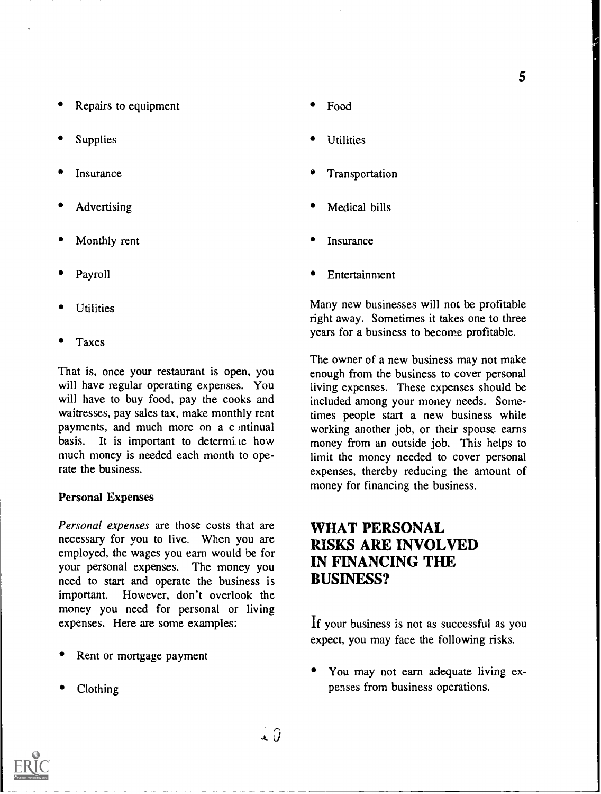- Repairs to equipment
- Supplies
- Insurance
- Advertising
- Monthly rent
- Payroll
- **Utilities**
- Taxes

That is, once your restaurant is open, you will have regular operating expenses. You will have to buy food, pay the cooks and waitresses, pay sales tax, make monthly rent payments, and much more on a c ntinual basis. It is important to determi.ie how much money is needed each month to operate the business.

#### Personal Expenses

Personal expenses are those costs that are necessary for you to live. When you are employed, the wages you earn would be for your personal expenses. The money you need to start and operate the business is important. However, don't overlook the money you need for personal or living expenses. Here are some examples:

- Rent or mortgage payment
- Clothing
- Food
- Utilities
- Transportation
- Medical bills
- Insurance
- Entertainment

Many new businesses will not be profitable right away. Sometimes it takes one to three years for a business to become profitable.

The owner of a new business may not make enough from the business to cover personal living expenses. These expenses should be included among your money needs. Sometimes people start a new business while working another job, or their spouse earns money from an outside job. This helps to limit the money needed to cover personal expenses, thereby reducing the amount of money for financing the business.

# WHAT PERSONAL RISKS ARE INVOLVED IN FINANCING THE BUSINESS?

If your business is not as successful as you expect, you may face the following risks.

You may not earn adequate living expenses from business operations.

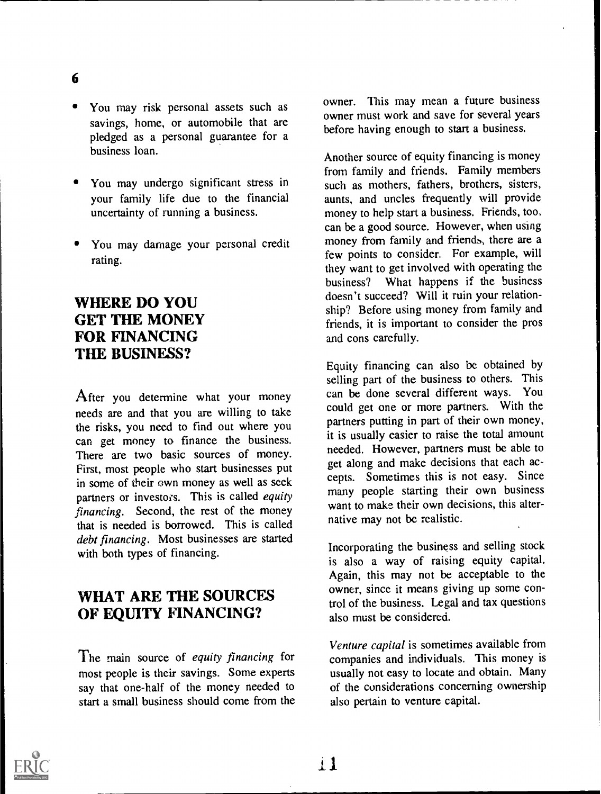- 6
- You may risk personal assets such as savings, home, or automobile that are pledged as a personal guarantee for a business loan.
- You may undergo significant stress in your family life due to the financial uncertainty of running a business.
- You may damage your personal credit rating.

# WHERE DO YOU GET THE MONEY FOR FINANCING THE BUSINESS?

After you determine what your money needs are and that you are willing to take the risks, you need to find out where you can get money to finance the business. There are two basic sources of money. First, most people who start businesses put in some of their own money as well as seek partners or investors. This is called *equity* financing. Second, the rest of the money that is needed is borrowed. This is called debt financing. Most businesses are started with both types of financing.

# WHAT ARE THE SOURCES OF EQUITY FINANCING?

The main source of equity financing for most people is their savings. Some experts say that one-half of the money needed to start a small business should come from the owner. This may mean a future business owner must work and save for several years before having enough to start a business.

Another source of equity financing is money from family and friends. Family members such as mothers, fathers, brothers, sisters, aunts, and uncles frequently will provide money to help start a business. Friends, too, can be a good source. However, when using money from family and friends, there are a few points to consider. For example, will they want to get involved with operating the business? What happens if the business doesn't succeed? Will it ruin your relationship? Before using money from family and friends, it is important to consider the pros and cons carefully.

Equity financing can also be obtained by selling part of the business to others. This can be done several different ways. You could get one or more partners. With the partners putting in part of their own money, it is usually easier to raise the total amount needed. However, partners must be able to get along and make decisions that each accepts. Sometimes this is not easy. Since many people starting their own business want to make their own decisions, this alternative may not be realistic.

Incorporating the business and selling stock is also a way of raising equity capital. Again, this may not be acceptable to the owner, since it means giving up some control of the business. Legal and tax questions also must be considered.

Venture capital is sometimes available from companies and individuals. This money is usually not easy to locate and obtain. Many of the considerations concerning ownership also pertain to venture capital.

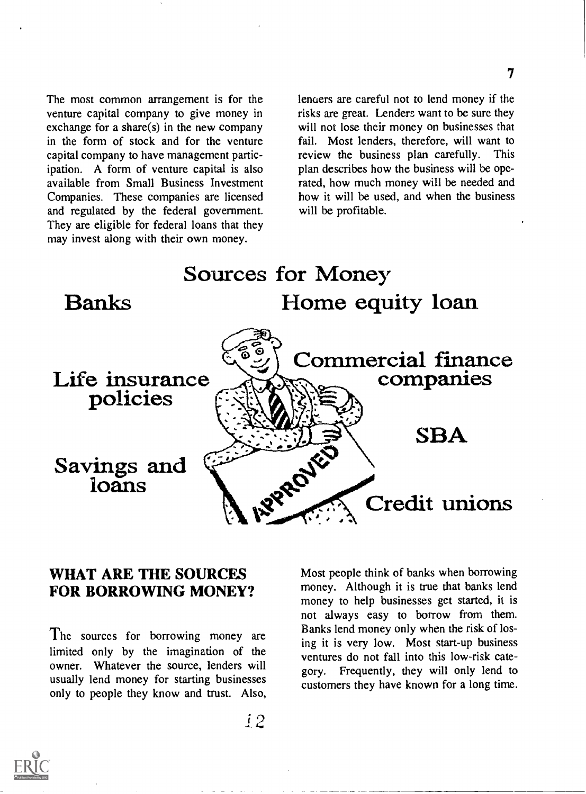The most common arrangement is for the venture capital company to give money in exchange for a share(s) in the new company in the form of stock and for the venture capital company to have management participation. A form of venture capital is also available from Small Business Investment Companies. These companies are licensed and regulated by the federal government. They are eligible for federal loans that they may invest along with their own money.

lenders are careful not to lend money if the risks are great. Lenders want to be sure they will not lose their money on businesses that fail. Most lenders, therefore, will want to review the business plan carefully. This plan describes how the business will be operated, how much money will be needed and how it will be used, and when the business will be profitable.



#### WHAT ARE THE SOURCES FOR BORROWING MONEY?

The sources for borrowing money are limited only by the imagination of the owner. Whatever the source, lenders will usually lend money for starting businesses only to people they know and trust. Also, Most people think of banks when borrowing money. Although it is true that banks lend money to help businesses get started, it is not always easy to borrow from them. Banks lend money only when the risk of losing it is very low. Most start-up business ventures do not fall into this low-risk category. Frequently, they will only lend to customers they have known for a long time.



 $\pm 2$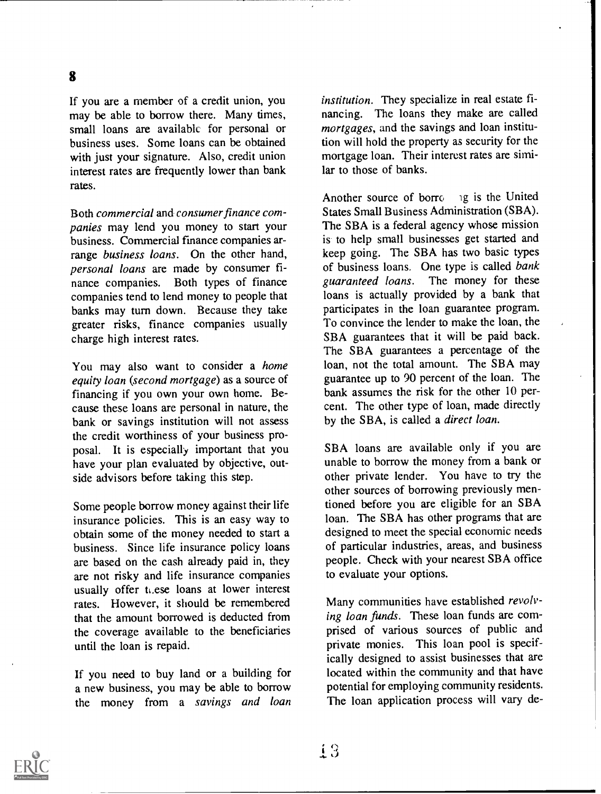If you are a member of a credit union, you may be able to borrow there. Many times, small loans are available for personal or business uses. Some loans can be obtained with just your signature. Also, credit union interest rates are frequently lower than bank rates.

Both commercial and consumer finance companies may lend you money to start your business. Commercial finance companies arrange business loans. On the other hand, personal loans are made by consumer finance companies. Both types of finance guaranteed loans. companies tend to lend money to people that banks may turn down. Because they take greater risks, finance companies usually charge high interest rates.

You may also want to consider a home equity loan (second mortgage) as a source of financing if you own your own home. Because these loans are personal in nature, the bank or savings institution will not assess the credit worthiness of your business proposal. It is especially important that you have your plan evaluated by objective, outside advisors before taking this step.

Some people borrow money against their life insurance policies. This is an easy way to obtain some of the money needed to start a business. Since life insurance policy loans are based on the cash already paid in, they are not risky and life insurance companies usually offer these loans at lower interest rates. However, it should be remembered that the amount borrowed is deducted from the coverage available to the beneficiaries until the loan is repaid.

If you need to buy land or a building for a new business, you may be able to borrow the money from a savings and loan institution. They specialize in real estate financing. The loans they make are called mortgages, and the savings and loan institution will hold the property as security for the mortgage loan. Their interest rates are similar to those of banks.

Another source of borro. ig is the United States Small Business Administration (SBA). The SBA is a federal agency whose mission is to help small businesses get started and keep going. The SBA has two basic types of business loans. One type is called bank The money for these loans is actually provided by a bank that participates in the loan guarantee program. To convince the lender to make the loan, the SBA guarantees that it will be paid back. The SBA guarantees a percentage of the loan, not the total amount. The SBA may guarantee up to 90 percent of the loan. The bank assumes the risk for the other 10 percent. The other type of loan, made directly by the SBA, is called a direct loan.

SBA loans are available only if you are unable to borrow the money from a bank or other private lender. You have to try the other sources of borrowing previously mentioned before you are eligible for an SBA loan. The SBA has other programs that are designed to meet the special economic needs of particular industries, areas, and business people. Check with your nearest SBA office to evaluate your options.

Many communities have established revolving loan funds. These loan funds are comprised of various sources of public and private monies. This loan pool is specifically designed to assist businesses that are located within the community and that have potential for employing community residents. The loan application process will vary de-

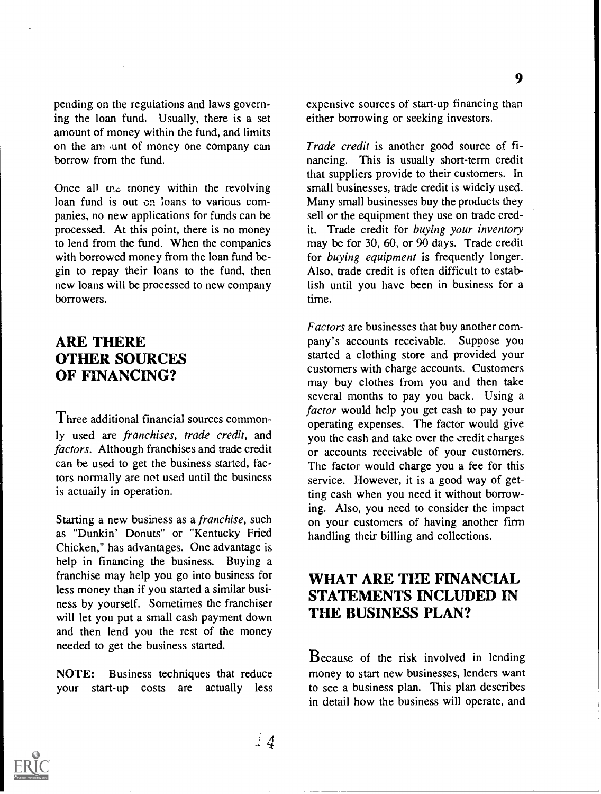pending on the regulations and laws governing the loan fund. Usually, there is a set amount of money within the fund, and limits on the am unt of money one company can borrow from the fund.

Once all the money within the revolving loan fund is out on loans to various companies, no new applications for funds can be processed. At this point, there is no money to lend from the fund. When the companies with borrowed money from the loan fund begin to repay their loans to the fund, then new loans will be processed to new company borrowers.

#### ARE THERE OTHER SOURCES OF FINANCING?

Three additional financial sources commonly used are franchises, trade credit, and factors. Although franchises and trade credit can be used to get the business started, factors normally are not used until the business is actually in operation.

Starting a new business as a franchise, such as "Dunkin' Donuts" or "Kentucky Fried Chicken," has advantages. One advantage is help in financing the business. Buying a franchise may help you go into business for less money than if you started a similar business by yourself. Sometimes the franchiser will let you put a small cash payment down and then lend you the rest of the money needed to get the business started.

NOTE: Business techniques that reduce your start-up costs are actually less expensive sources of start-up financing than either borrowing or seeking investors.

Trade credit is another good source of financing. This is usually short-term credit that suppliers provide to their customers. In small businesses, trade credit is widely used. Many small businesses buy the products they sell or the equipment they use on trade credit. Trade credit for buying your inventory may be for 30, 60, or 90 days. Trade credit for buying equipment is frequently longer. Also, trade credit is often difficult to establish until you have been in business for a time.

Factors are businesses that buy another company's accounts receivable. Suppose you started a clothing store and provided your customers with charge accounts. Customers may buy clothes from you and then take several months to pay you back. Using a factor would help you get cash to pay your operating expenses. The factor would give you the cash and take over the credit charges or accounts receivable of your customers. The factor would charge you a fee for this service. However, it is a good way of getting cash when you need it without borrowing. Also, you need to consider the impact on your customers of having another firm handling their billing and collections.

### WHAT ARE THE FINANCIAL STATEMENTS INCLUDED IN THE BUSINESS PLAN?

Because of the risk involved in lending money to start new businesses, lenders want to see a business plan. This plan describes in detail how the business will operate, and

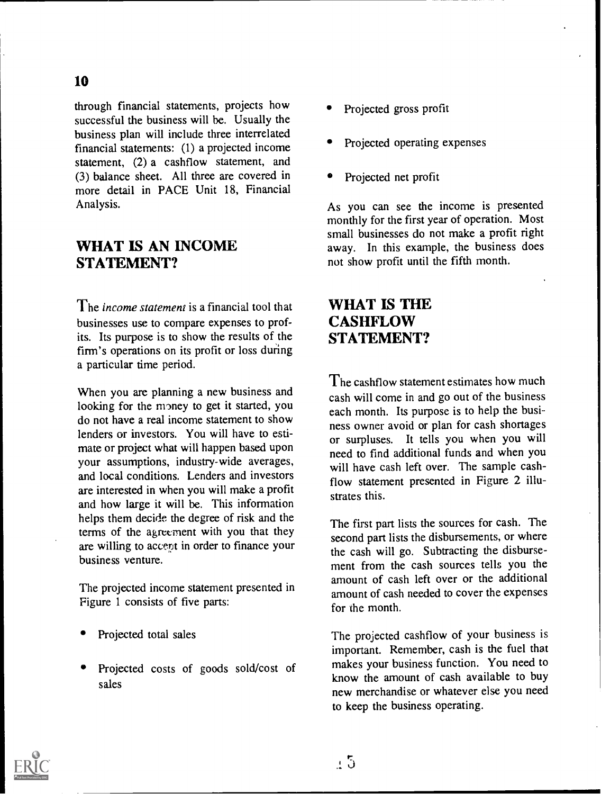through financial statements, projects how successful the business will be. Usually the business plan will include three interrelated financial statements: (1) a projected income statement, (2) a cashflow statement, and (3) balance sheet. All three are covered in more detail in PACE Unit 18, Financial Analysis.

#### WHAT IS AN INCOME STATEMENT?

The *income statement* is a financial tool that businesses use to compare expenses to profits. Its purpose is to show the results of the firm's operations on its profit or loss during a particular time period.

When you are planning a new business and looking for the money to get it started, you do not have a real income statement to show lenders or investors. You will have to estimate or project what will happen based upon your assumptions, industry-wide averages, and local conditions. Lenders and investors are interested in when you will make a profit and how large it will be. This information helps them decide the degree of risk and the terms of the agreement with you that they are willing to accent in order to finance your business venture.

The projected income statement presented in Figure 1 consists of five parts:

- Projected total sales
- Projected costs of goods sold/cost of sales
- Projected gross profit
- Projected operating expenses
- Projected net profit

As you can see the income is presented monthly for the first year of operation. Most small businesses do not make a profit right away. In this example, the business does not show profit until the fifth month.

### WHAT IS THE **CASHFLOW** STATEMENT?

The cashflow statement estimates how much cash will come in and go out of the business each month. Its purpose is to help the business owner avoid or plan for cash shortages or surpluses. It tells you when you will need to find additional funds and when you will have cash left over. The sample cashflow statement presented in Figure 2 illustrates this.

The first part lists the sources for cash. The second part lists the disbursements, or where the cash will go. Subtracting the disbursement from the cash sources tells you the amount of cash left over or the additional amount of cash needed to cover the expenses for the month.

The projected cashflow of your business is important. Remember, cash is the fuel that makes your business function. You need to know the amount of cash available to buy new merchandise or whatever else you need to keep the business operating.

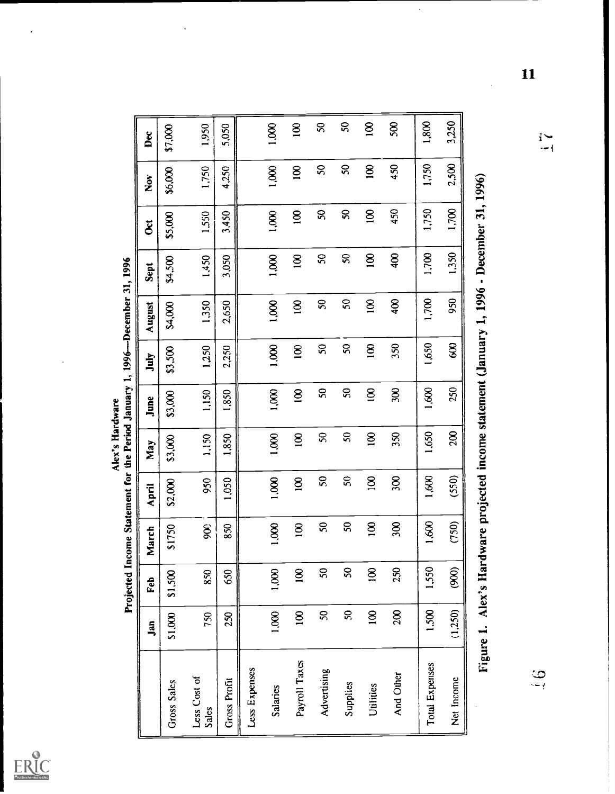

 $\ddot{\phantom{0}}$ 

|                 | d January 1, 1996—December 31, 1996 |
|-----------------|-------------------------------------|
|                 |                                     |
|                 |                                     |
|                 |                                     |
| Alex's Hardware |                                     |
|                 |                                     |
|                 |                                     |
|                 | d Income Statement for the Period . |
|                 |                                     |
|                 |                                     |

|                       | Jan            | Feb              | March                                                                                      | April          | May              | June                       | July             | August                  | Sept             | $\mathcal{\breve{g}}$ | $\boldsymbol{\check{z}}$ | Dec              |
|-----------------------|----------------|------------------|--------------------------------------------------------------------------------------------|----------------|------------------|----------------------------|------------------|-------------------------|------------------|-----------------------|--------------------------|------------------|
| Gross Sales           | \$1,000        | \$1,500          | \$1750                                                                                     | \$2,000        | \$3,000          | \$3,000                    | \$3,500          | \$4,000                 | \$4,500          | \$5,000               | \$6,000                  | \$7,000          |
| Less Cost of<br>Sales | 750            | 850              | SOG                                                                                        | 950            | 1,150            | 1,150                      | 1,250            | 1,350                   | 1,450            | 1,550                 | 1,750                    | 1,950            |
| <b>Gross Profit</b>   | 250            | 650              | 850                                                                                        | 1,050          | 1,850            | 1,850                      | 2,250            | 2,650                   | 3,050            | 3,450                 | 4,250                    | 5,050            |
| Less Expenses         |                |                  |                                                                                            |                |                  |                            |                  |                         |                  |                       |                          |                  |
| Salaries              | 1,000          | 1,000            | 1,000                                                                                      | 1,000          | 1,000            | 1,000                      | 1,000            | 1,000                   | 1,000            | 1,000                 | <b>800.1</b>             | 1,000            |
| Payroll Taxes         | $\overline{8}$ | $\overline{8}$   | $\overline{8}$                                                                             | $\overline{8}$ | $\overline{8}$   | $\overline{8}$             | $\mathbf{g}$     | $\overline{\mathbf{g}}$ | $\mathbf{\Xi}$   | $\overline{8}$        | $\overline{8}$           | $\overline{100}$ |
| Advertising           | $\mathcal{S}$  | $\overline{50}$  | $\boldsymbol{S}$                                                                           | 50             | $\boldsymbol{S}$ | $\boldsymbol{\mathcal{S}}$ | $50\,$           | S                       | $\boldsymbol{S}$ | S                     | $50\,$                   | S                |
| Supplies              | SQ             | $\boldsymbol{S}$ | S                                                                                          | $50\,$         | S                | $\boldsymbol{S}$           | $\boldsymbol{S}$ | $50\,$                  | S                | $\boldsymbol{S}$      | 50                       | SO               |
| Utilities             | $\overline{8}$ | $\overline{8}$   | $\overline{8}$                                                                             | $\overline{8}$ | 8                | $\mathbf{8}$               | $\overline{8}$   | $\mathbf{8}$            | $\overline{100}$ | $\overline{8}$        | $\mathbf{8}$             | $\overline{8}$   |
| And Other             | 200            | 250              | 300                                                                                        | 300            | 350              | ZO.                        | 350              | $rac{40}{5}$            | $\frac{40}{2}$   | 450                   | 450                      | S <sub>0</sub>   |
| Total Expenses        | 1,500          | 1,550            | 1,600                                                                                      | 1,600          | 1,650            | 1,600                      | 1,650            | 1,700                   | 1,700            | 1,750                 | 1,750                    | 1,800            |
| Net Income            | (1,250)        | (900)            | (750)                                                                                      | (550)          | 200              | 250                        | SS)              | 950                     | 1,350            | 1,700                 | 2,500                    | 3,250            |
|                       |                |                  | Figure 1. Alex's Hardware projected income statement (January 1, 1996 - December 31, 1996) |                |                  |                            |                  |                         |                  |                       |                          |                  |

 $\ddot{\cdot}$ 

 $\sum_{i=1}^{n}$ 

 $\overline{\mathbf{11}}$ 

 $\frac{6}{1}$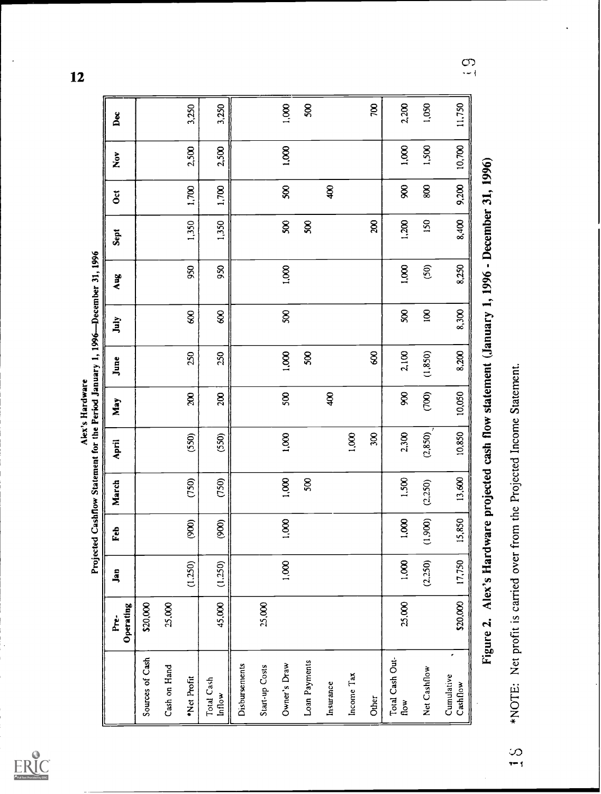$ERIC$ 

Alex's Hardware<br>Projected Cashflow Statement for the Period January 1, 1996—December 31, 1996

 $\overline{\mathbf{12}}$ 

|                                                                        | Operating<br>ġ                                                                                | Jan     | Feb           | March   | April   | May            | June     | July                       | Aug            | Sept  | $\overline{5}$ | $\tilde{\check{\mathbf{z}}}$ | Å        |
|------------------------------------------------------------------------|-----------------------------------------------------------------------------------------------|---------|---------------|---------|---------|----------------|----------|----------------------------|----------------|-------|----------------|------------------------------|----------|
| Sources of Cash                                                        | \$20,000                                                                                      |         |               |         |         |                |          |                            |                |       |                |                              |          |
| Cash on Hand                                                           | 25,000                                                                                        |         |               |         |         |                |          |                            |                |       |                |                              |          |
| Net Profit                                                             |                                                                                               | (1.250) | $\mathcal{S}$ | (750)   | (550)   | R              | 250      | $\frac{8}{2}$              | 950            | 1,350 | 1,700          | 2,500                        | 3,250    |
| Total Cash<br>Inflow                                                   | 45,000                                                                                        | (1.250) | (900)         | (750)   | (550)   | 200            | 250      | $\boldsymbol{\mathcal{S}}$ | 950            | 1,350 | 1,700          | 2,500                        | 3,250    |
| Disbursements                                                          |                                                                                               |         |               |         |         |                |          |                            |                |       |                |                              |          |
| Start-up Costs                                                         | 25,000                                                                                        |         |               |         |         |                |          |                            |                |       |                |                              |          |
| Owner's Draw                                                           |                                                                                               | 1,000   | 1,000         | 1,000   | 1,000   | 500            | 1,000    | Ş,                         | 1,000          | 500   | 500            | 1,000                        | 1,000    |
| Loan Payments                                                          |                                                                                               |         |               | 500     |         |                | 500      |                            |                | 500   |                |                              | 500      |
| Insurance                                                              |                                                                                               |         |               |         |         | $\frac{8}{3}$  |          |                            |                |       | $\frac{8}{3}$  |                              |          |
| Income Tax                                                             |                                                                                               |         |               |         | 1,000   |                |          |                            |                |       |                |                              |          |
| Other                                                                  |                                                                                               |         |               |         | 300     |                | 8        |                            |                | 200   |                |                              | $\infty$ |
| Total Cash Out-<br>flow                                                | 25,000                                                                                        | 1,000   | 1,000         | 1,500   | 2,300   | g              | 2,100    | 500                        | 1,000          | 1,200 | 8 <sup>o</sup> | 1,000                        | 2,200    |
| Net Cashflow                                                           |                                                                                               | (2.250) | (1,900)       | (2.250) | (2,850) | $\circledcirc$ | (1, 850) | $\mathbf{g}$               | $\overline{S}$ | 150   | 800            | 1,500                        | 1,050    |
| $\epsilon$<br>Cumulative<br>Cashflow                                   | \$20,000                                                                                      | 17,750  | 15,850        | 13,600  | 10,850  | 10,050         | 8,200    | 8,300                      | 8,250          | 8,400 | 9,200          | 10,700                       | 11,750   |
|                                                                        | Figure 2. Alex's Hardware projected cash flow statement (January 1, 1996 - December 31, 1996) |         |               |         |         |                |          |                            |                |       |                |                              |          |
| *NOTE: Net profit is carried over from the Projected Income Statement. |                                                                                               |         |               |         |         |                |          |                            |                |       |                |                              |          |

 $\overline{\mathcal{O}}$ 

 $\frac{1}{2}$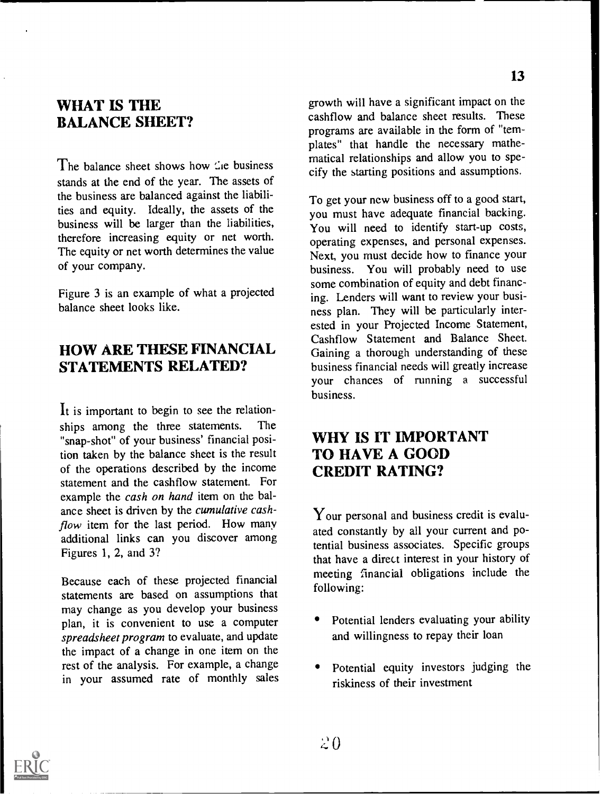### WHAT IS THE BALANCE SHEET?

The balance sheet shows how  $\mathcal{L}$  business stands at the end of the year. The assets of the business are balanced against the liabilities and equity. Ideally, the assets of the business will be larger than the liabilities, therefore increasing equity or net worth. The equity or net worth determines the value of your company.

Figure 3 is an example of what a projected balance sheet looks like.

### HOW ARE THESE FINANCIAL STATEMENTS RELATED?

It is important to begin to see the relationships among the three statements. The "snap-shot" of your business' financial position taken by the balance sheet is the result of the operations described by the income statement and the cashflow statement. For example the cash on hand item on the balance sheet is driven by the cumulative cashflow item for the last period. How many additional links can you discover among Figures 1, 2, and 3?

Because each of these projected financial statements are based on assumptions that may change as you develop your business plan, it is convenient to use a computer spreadsheet program to evaluate, and update the impact of a change in one item on the rest of the analysis. For example, a change in your assumed rate of monthly sales growth will have a significant impact on the cashflow and balance sheet results. These programs are available in the form of "templates" that handle the necessary mathematical relationships and allow you to specify the starting positions and assumptions.

To get your new business off to a good start, you must have adequate financial backing. You will need to identify start-up costs, operating expenses, and personal expenses. Next, you must decide how to finance your business. You will probably need to use some combination of equity and debt financing. Lenders will want to review your business plan. They will be particularly interested in your Projected Income Statement, Cashflow Statement and Balance Sheet. Gaining a thorough understanding of these business financial needs will greatly increase your chances of running a successful business.

# WHY IS IT IMPORTANT TO HAVE A GOOD CREDIT RATING?

Your personal and business credit is evaluated constantly by all your current and potential business associates. Specific groups that have a direct interest in your history of meeting financial obligations include the following:

- Potential lenders evaluating your ability and willingness to repay their loan
- Potential equity investors judging the riskiness of their investment



13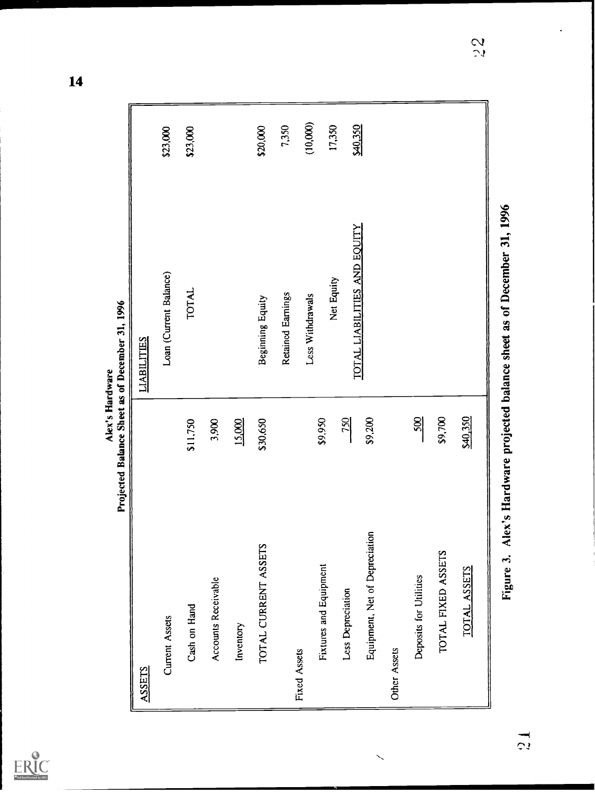| Full Text Provided by ERIC |
|----------------------------|

| ember 31,<br>Sheet as of 1<br>Ξ<br>r.<br>Palance Su-<br>$\colon$<br>ě<br>į |  |
|----------------------------------------------------------------------------|--|
|                                                                            |  |
|                                                                            |  |
|                                                                            |  |
|                                                                            |  |
|                                                                            |  |

 $14$ 

|                                                          | Projected Balance Sheet as of December 31, 1996<br>Alex's Hardware |          |
|----------------------------------------------------------|--------------------------------------------------------------------|----------|
| <b>ASSETS</b>                                            | <b>LIABILITIES</b>                                                 |          |
| Current Assets                                           | Loan (Current Balance)                                             | \$23,000 |
| \$11,750<br>Cash on Hand                                 | <b>TOTAL</b>                                                       | \$23,000 |
| 3,900<br>Accounts Receivable                             |                                                                    |          |
| 15,000<br>Inventory                                      |                                                                    |          |
| \$30,650<br>TOTAL CURRENT ASSETS                         | Beginning Equity                                                   | \$20,000 |
|                                                          | Retained Earnings                                                  | 7,350    |
| Fixed Assets                                             | Less Withdrawals                                                   | (10,000) |
| \$9,950<br><b>Fixtures and Equipment</b>                 | Net Equity                                                         | 17,350   |
| <b>250</b><br>Less Depreciation                          | TOTAL LIABILITIES AND EQUITY                                       | \$40,350 |
| \$9,200<br>$\overline{5}$<br>Equipment, Net of Depreciat |                                                                    |          |
| Other Assets                                             |                                                                    |          |
| $rac{500}{200}$<br>Deposits for Utilities                |                                                                    |          |
| \$9,700<br>TOTAL FIXED ASSETS                            |                                                                    |          |
| \$40,350<br><b>TOTAL ASSETS</b>                          |                                                                    |          |
| Figure 3.                                                | Alex's Hardware projected balance sheet as of December 31, 1996    |          |

 $\tilde{5}$ 

 $\frac{1}{2}$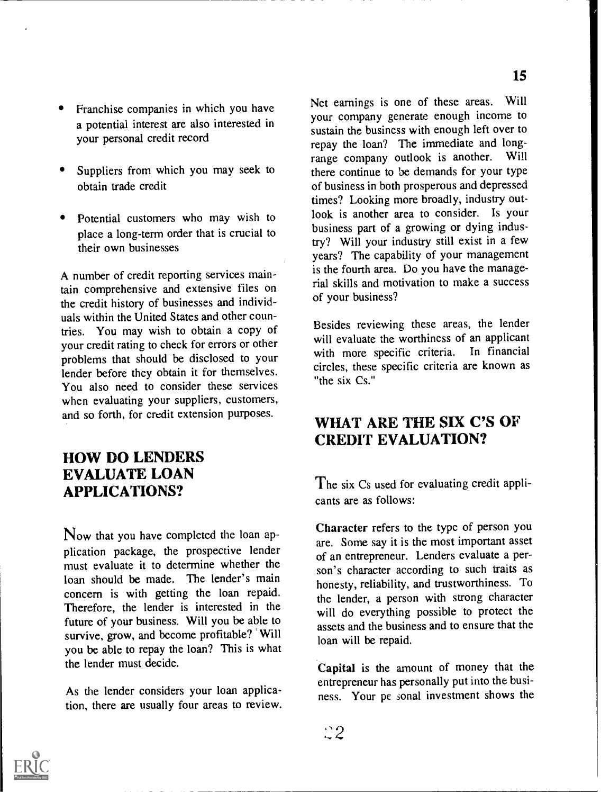- Franchise companies in which you have a potential interest are also interested in your personal credit record
- Suppliers from which you may seek to obtain trade credit
- Potential customers who may wish to place a long-term order that is crucial to their own businesses

A number of credit reporting services maintain comprehensive and extensive files on the credit history of businesses and individuals within the United States and other countries. You may wish to obtain a copy of your credit rating to check for errors or other problems that should be disclosed to your lender before they obtain it for themselves. You also need to consider these services when evaluating your suppliers, customers, and so forth, for credit extension purposes.

### HOW DO LENDERS EVALUATE LOAN APPLICATIONS?

Now that you have completed the loan application package, the prospective lender must evaluate it to determine whether the loan should be made. The lender's main concern is with getting the loan repaid. Therefore, the lender is interested in the future of your business. Will you be able to survive, grow, and become profitable? Will you be able to repay the loan? This is what the lender must decide.

As the lender considers your loan application, there are usually four areas to review. Net earnings is one of these areas. Will your company generate enough income to sustain the business with enough left over to repay the loan? The immediate and long-<br>range company outlook is another. Will range company outlook is another. there continue to be demands for your type of business in both prosperous and depressed times? Looking more broadly, industry outlook is another area to consider. Is your business part of a growing or dying industry? Will your industry still exist in a few years? The capability of your management is the fourth area. Do you have the managerial skills and motivation to make a success of your business?

Besides reviewing these areas, the lender will evaluate the worthiness of an applicant with more specific criteria. In financial circles, these specific criteria are known as "the six Cs."

# WHAT ARE THE SIX C'S OF CREDIT EVALUATION?

The six Cs used for evaluating credit applicants are as follows:

Character refers to the type of person you are. Some say it is the most important asset of an entrepreneur. Lenders evaluate a person's character according to such traits as honesty, reliability, and trustworthiness. To the lender, a person with strong character will do everything possible to protect the assets and the business and to ensure that the loan will be repaid.

Capital is the amount of money that the entrepreneur has personally put into the business. Your pe sonal investment shows the

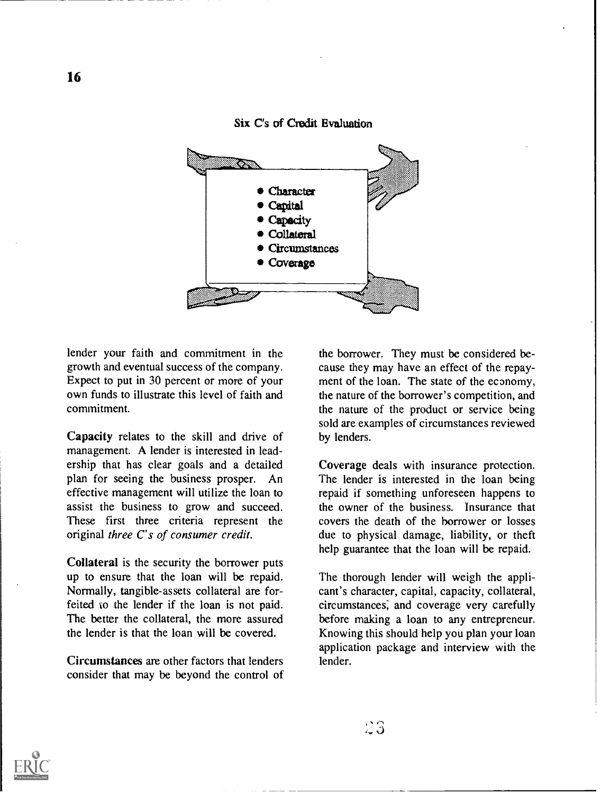Six C's of Credit Evaluation



lender your faith and commitment in the growth and eventual success of the company. Expect to put in 30 percent or more of your own funds to illustrate this level of faith and commitment.

Capacity relates to the skill and drive of management. A lender is interested in leadership that has clear goals and a detailed plan for seeing the business prosper. An effective management will utilize the loan to assist the business to grow and succeed. These first three criteria represent the original three C's of consumer credit.

Collateral is the security the borrower puts up to ensure that the loan will be repaid. Normally, tangible-assets collateral are forfeited to the lender if the loan is not paid. The better the collateral, the more assured the lender is that the loan will be covered.

Circumstances are other factors that lenders consider that may be beyond the control of the borrower. They must be considered because they may have an effect of the repayment of the loan. The state of the economy, the nature of the borrower's competition, and the nature of the product or service being sold are examples of circumstances reviewed by lenders.

Coverage deals with insurance protection. The lender is interested in the loan being repaid if something unforeseen happens to the owner of the business. Insurance that covers the death of the borrower or losses due to physical damage, liability, or theft help guarantee that the loan will be repaid.

The thorough lender will weigh the applicant's character, capital, capacity, collateral, circumstances; and coverage very carefully before making a loan to any entrepreneur. Knowing this should help you plan your loan application package and interview with the lender.

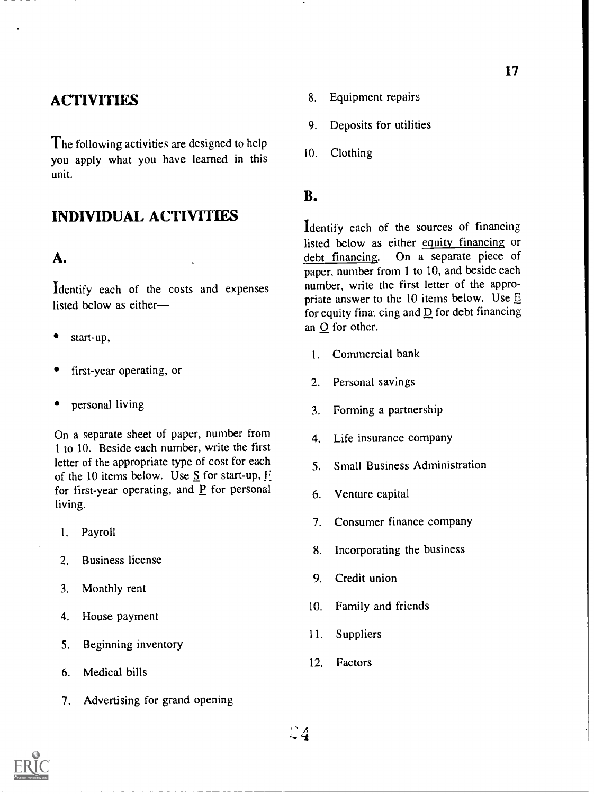# **ACTIVITIES**

The following activities are designed to help  $10.$ you apply what you have learned in this unit.

#### INDIVIDUAL ACTIVITIES

#### A.

Identify each of the costs and expenses listed below as either

- start-up,
- first-year operating, or
- personal living

On a separate sheet of paper, number from  $\overline{a}$ 1 to 10. Beside each number, write the first letter of the appropriate type of cost for each 5 of the 10 items below. Use S for start-up,  $\Gamma$ . for first-year operating, and P for personal living.

- 1. Payroll
- 2. Business license
- 3. Monthly rent
- 4. House payment
- 5. Beginning inventory
- 6. Medical bills
- 7. Advertising for grand opening
- 8. Equipment repairs
- 9. Deposits for utilities
- Clothing

#### B.

Identify each of the sources of financing listed below as either equity financing or debt financing. On a separate piece of paper, number from 1 to 10, and beside each number, write the first letter of the appropriate answer to the 10 items below. Use  $E$ for equity fina. cing and  $\underline{D}$  for debt financing an 0 for other.

- 1. Commercial bank
- 2. Personal savings
- 3. Forming a partnership
- Life insurance company
- 5. Small Business Administration
- 6. Venture capital
- 7. Consumer finance company
- 8. Incorporating the business
- 9. Credit union
- 10. Family and friends
- 11. Suppliers
- 12. Factors



 $24$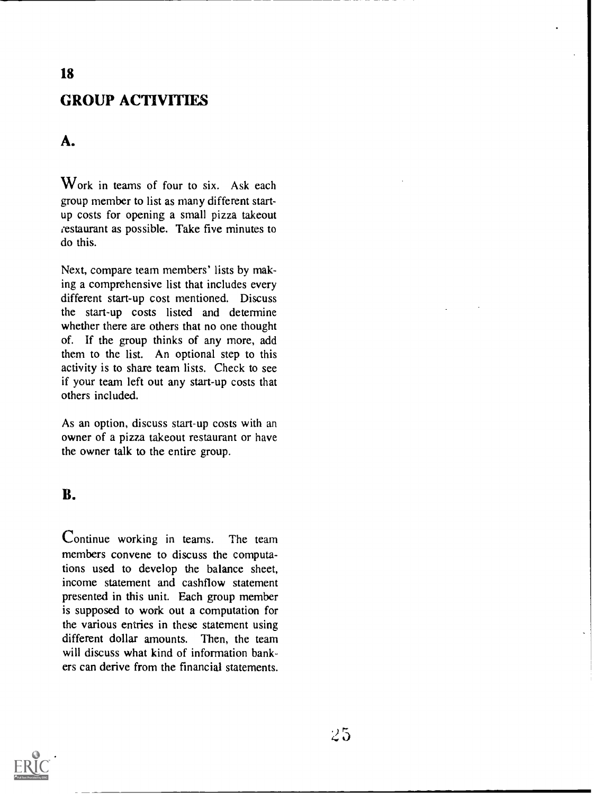# GROUP ACTIVITIES

#### A.

Work in teams of four to six. Ask each group member to list as many different startup costs for opening a small pizza takeout restaurant as possible. Take five minutes to do this.

Next, compare team members' lists by making a comprehensive list that includes every different start-up cost mentioned. Discuss the start-up costs listed and determine whether there are others that no one thought of. If the group thinks of any more, add them to the list. An optional step to this activity is to share team lists. Check to see if your team left out any start-up costs that others included.

As an option, discuss start-up costs with an owner of a pizza takeout restaurant or have the owner talk to the entire group.

#### B.

Continue working in teams. The team members convene to discuss the computations used to develop the balance sheet, income statement and cashflow statement presented in this unit. Each group member is supposed to work out a computation for the various entries in these statement using different dollar amounts. Then, the team will discuss what kind of information bankers can derive from the financial statements.

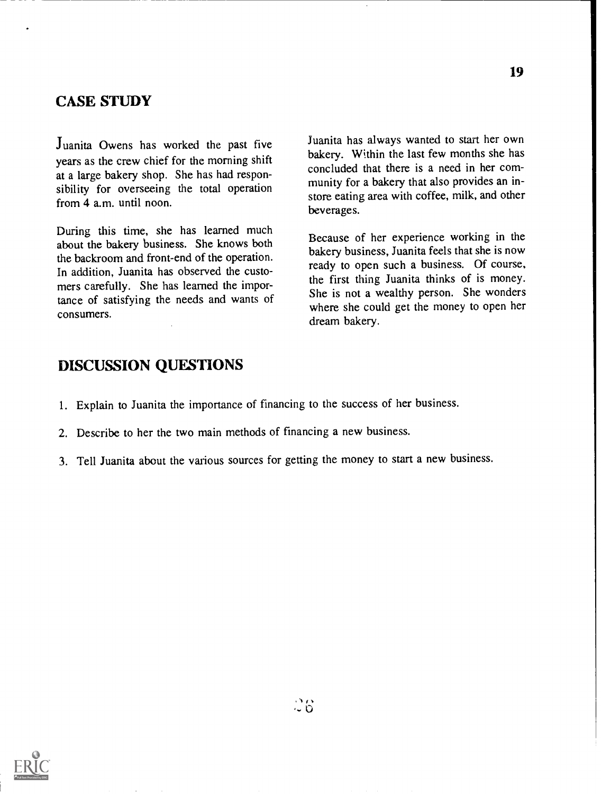#### CASE STUDY

Juanita Owens has worked the past five years as the crew chief for the morning shift at a large bakery shop. She has had responsibility for overseeing the total operation from 4 a.m. until noon.

During this time, she has learned much about the bakery business. She knows both the backroom and front-end of the operation. In addition, Juanita has observed the customers carefully. She has learned the importance of satisfying the needs and wants of consumers.

Juanita has always wanted to start her own bakery. Within the last few months she has concluded that there is a need in her community for a bakery that also provides an instore eating area with coffee, milk, and other beverages.

Because of her experience working in the bakery business, Juanita feels that she is now ready to open such a business. Of course, the first thing Juanita thinks of is money. She is not a wealthy person. She wonders where she could get the money to open her dream bakery.

#### DISCUSSION QUESTIONS

- 1. Explain to Juanita the importance of financing to the success of her business.
- 2. Describe to her the two main methods of financing a new business.
- 3. Tell Juanita about the various sources for getting the money to start a new business.

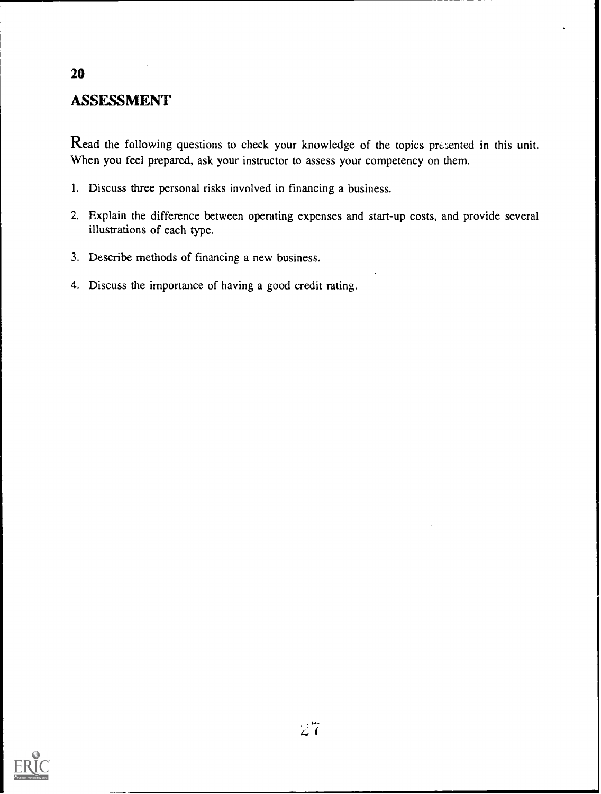# ASSESSMENT

20

Read the following questions to check your knowledge of the topics prezented in this unit. When you feel prepared, ask your instructor to assess your competency on them.

- 1. Discuss three personal risks involved in financing a business.
- 2. Explain the difference between operating expenses and start-up costs, and provide several illustrations of each type.
- 3. Describe methods of financing a new business.
- 4. Discuss the importance of having a good credit rating.

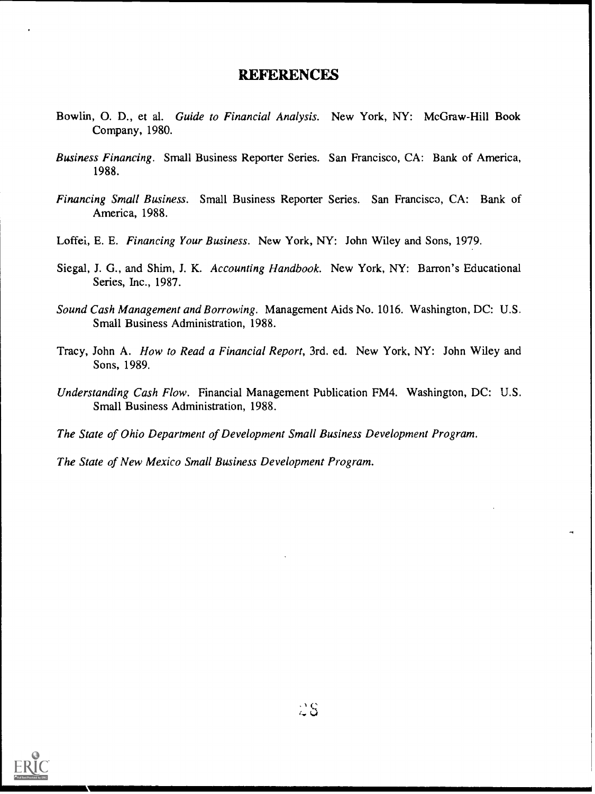#### REFERENCES

- Bowlin, O. D., et al. Guide to Financial Analysis. New York, NY: McGraw-Hill Book Company, 1980.
- Business Financing. Small Business Reporter Series. San Francisco, CA: Bank of America, 1988.
- Financing Small Business. Small Business Reporter Series. San Francisco, CA: Bank of America, 1988.
- Loffei, E. E. Financing Your Business. New York, NY: John Wiley and Sons, 1979.
- Siegal, J. G., and Shim, J. K. Accounting Handbook. New York, NY: Barron's Educational Series, Inc., 1987.
- Sound Cash Management and Borrowing. Management Aids No. 1016. Washington, DC: U.S. Small Business Administration, 1988.
- Tracy, John A. How to Read a Financial Report, 3rd. ed. New York, NY: John Wiley and Sons, 1989.
- Understanding Cash Flow. Financial Management Publication FM4. Washington, DC: U.S. Small Business Administration, 1988.
- The State of Ohio Department of Development Small Business Development Program.
- The State of New Mexico Small Business Development Program.